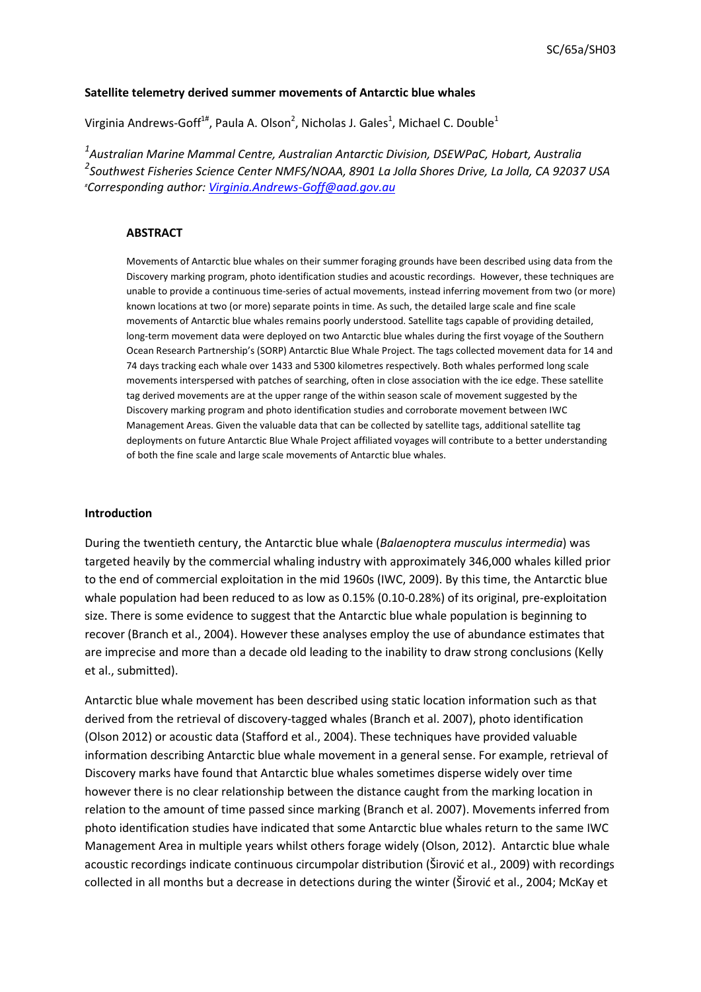## **Satellite telemetry derived summer movements of Antarctic blue whales**

Virginia Andrews-Goff<sup>1#</sup>, Paula A. Olson<sup>2</sup>, Nicholas J. Gales<sup>1</sup>, Michael C. Double<sup>1</sup>

*1 Australian Marine Mammal Centre, Australian Antarctic Division, DSEWPaC, Hobart, Australia 2 Southwest Fisheries Science Center NMFS/NOAA, 8901 La Jolla Shores Drive, La Jolla, CA 92037 USA # Corresponding author: [Virginia.Andrews-Goff@aad.gov.au](mailto:Virginia.Andrews-Goff@aad.gov.au)*

#### **ABSTRACT**

Movements of Antarctic blue whales on their summer foraging grounds have been described using data from the Discovery marking program, photo identification studies and acoustic recordings. However, these techniques are unable to provide a continuous time-series of actual movements, instead inferring movement from two (or more) known locations at two (or more) separate points in time. As such, the detailed large scale and fine scale movements of Antarctic blue whales remains poorly understood. Satellite tags capable of providing detailed, long-term movement data were deployed on two Antarctic blue whales during the first voyage of the Southern Ocean Research Partnership's (SORP) Antarctic Blue Whale Project. The tags collected movement data for 14 and 74 days tracking each whale over 1433 and 5300 kilometres respectively. Both whales performed long scale movements interspersed with patches of searching, often in close association with the ice edge. These satellite tag derived movements are at the upper range of the within season scale of movement suggested by the Discovery marking program and photo identification studies and corroborate movement between IWC Management Areas. Given the valuable data that can be collected by satellite tags, additional satellite tag deployments on future Antarctic Blue Whale Project affiliated voyages will contribute to a better understanding of both the fine scale and large scale movements of Antarctic blue whales.

#### **Introduction**

During the twentieth century, the Antarctic blue whale (*Balaenoptera musculus intermedia*) was targeted heavily by the commercial whaling industry with approximately 346,000 whales killed prior to the end of commercial exploitation in the mid 1960s (IWC, 2009). By this time, the Antarctic blue whale population had been reduced to as low as 0.15% (0.10-0.28%) of its original, pre-exploitation size. There is some evidence to suggest that the Antarctic blue whale population is beginning to recover (Branch et al., 2004). However these analyses employ the use of abundance estimates that are imprecise and more than a decade old leading to the inability to draw strong conclusions (Kelly et al., submitted).

Antarctic blue whale movement has been described using static location information such as that derived from the retrieval of discovery-tagged whales (Branch et al. 2007), photo identification (Olson 2012) or acoustic data (Stafford et al., 2004). These techniques have provided valuable information describing Antarctic blue whale movement in a general sense. For example, retrieval of Discovery marks have found that Antarctic blue whales sometimes disperse widely over time however there is no clear relationship between the distance caught from the marking location in relation to the amount of time passed since marking (Branch et al. 2007). Movements inferred from photo identification studies have indicated that some Antarctic blue whales return to the same IWC Management Area in multiple years whilst others forage widely (Olson, 2012). Antarctic blue whale acoustic recordings indicate continuous circumpolar distribution (Širović et al., 2009) with recordings collected in all months but a decrease in detections during the winter (Širović et al., 2004; McKay et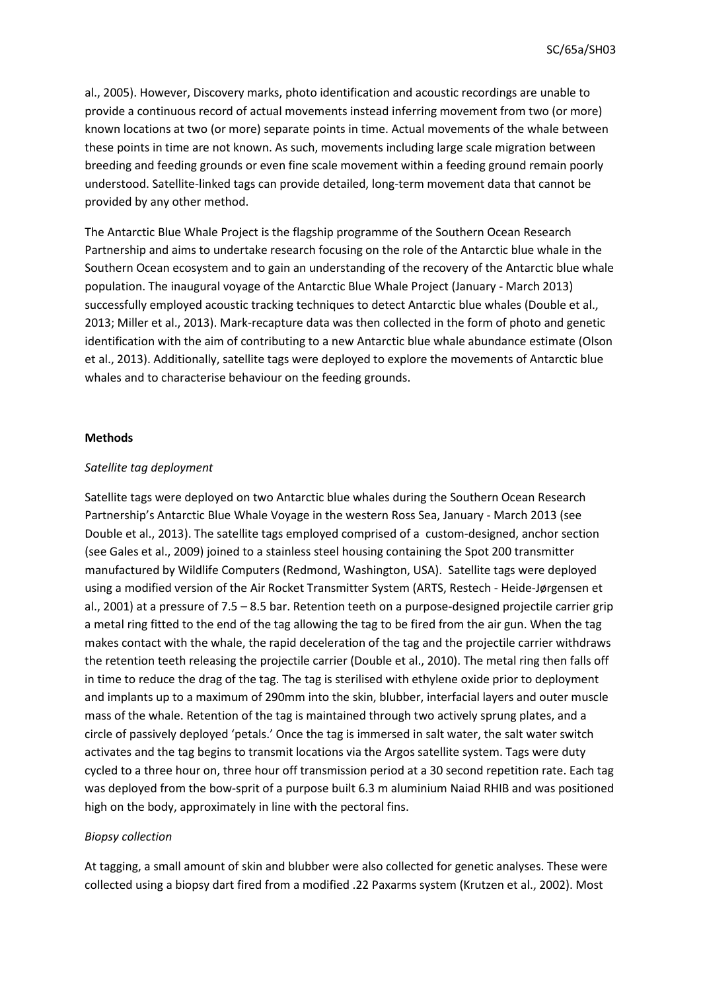al., 2005). However, Discovery marks, photo identification and acoustic recordings are unable to provide a continuous record of actual movements instead inferring movement from two (or more) known locations at two (or more) separate points in time. Actual movements of the whale between these points in time are not known. As such, movements including large scale migration between breeding and feeding grounds or even fine scale movement within a feeding ground remain poorly understood. Satellite-linked tags can provide detailed, long-term movement data that cannot be provided by any other method.

The Antarctic Blue Whale Project is the flagship programme of the Southern Ocean Research Partnership and aims to undertake research focusing on the role of the Antarctic blue whale in the Southern Ocean ecosystem and to gain an understanding of the recovery of the Antarctic blue whale population. The inaugural voyage of the Antarctic Blue Whale Project (January - March 2013) successfully employed acoustic tracking techniques to detect Antarctic blue whales (Double et al., 2013; Miller et al., 2013). Mark-recapture data was then collected in the form of photo and genetic identification with the aim of contributing to a new Antarctic blue whale abundance estimate (Olson et al., 2013). Additionally, satellite tags were deployed to explore the movements of Antarctic blue whales and to characterise behaviour on the feeding grounds.

## **Methods**

## *Satellite tag deployment*

Satellite tags were deployed on two Antarctic blue whales during the Southern Ocean Research Partnership's Antarctic Blue Whale Voyage in the western Ross Sea, January - March 2013 (see Double et al., 2013). The satellite tags employed comprised of a custom-designed, anchor section (see Gales et al., 2009) joined to a stainless steel housing containing the Spot 200 transmitter manufactured by Wildlife Computers (Redmond, Washington, USA). Satellite tags were deployed using a modified version of the Air Rocket Transmitter System (ARTS, Restech - Heide-Jørgensen et al., 2001) at a pressure of 7.5 – 8.5 bar. Retention teeth on a purpose-designed projectile carrier grip a metal ring fitted to the end of the tag allowing the tag to be fired from the air gun. When the tag makes contact with the whale, the rapid deceleration of the tag and the projectile carrier withdraws the retention teeth releasing the projectile carrier (Double et al., 2010). The metal ring then falls off in time to reduce the drag of the tag. The tag is sterilised with ethylene oxide prior to deployment and implants up to a maximum of 290mm into the skin, blubber, interfacial layers and outer muscle mass of the whale. Retention of the tag is maintained through two actively sprung plates, and a circle of passively deployed 'petals.' Once the tag is immersed in salt water, the salt water switch activates and the tag begins to transmit locations via the Argos satellite system. Tags were duty cycled to a three hour on, three hour off transmission period at a 30 second repetition rate. Each tag was deployed from the bow-sprit of a purpose built 6.3 m aluminium Naiad RHIB and was positioned high on the body, approximately in line with the pectoral fins.

# *Biopsy collection*

At tagging, a small amount of skin and blubber were also collected for genetic analyses. These were collected using a biopsy dart fired from a modified .22 Paxarms system (Krutzen et al., 2002). Most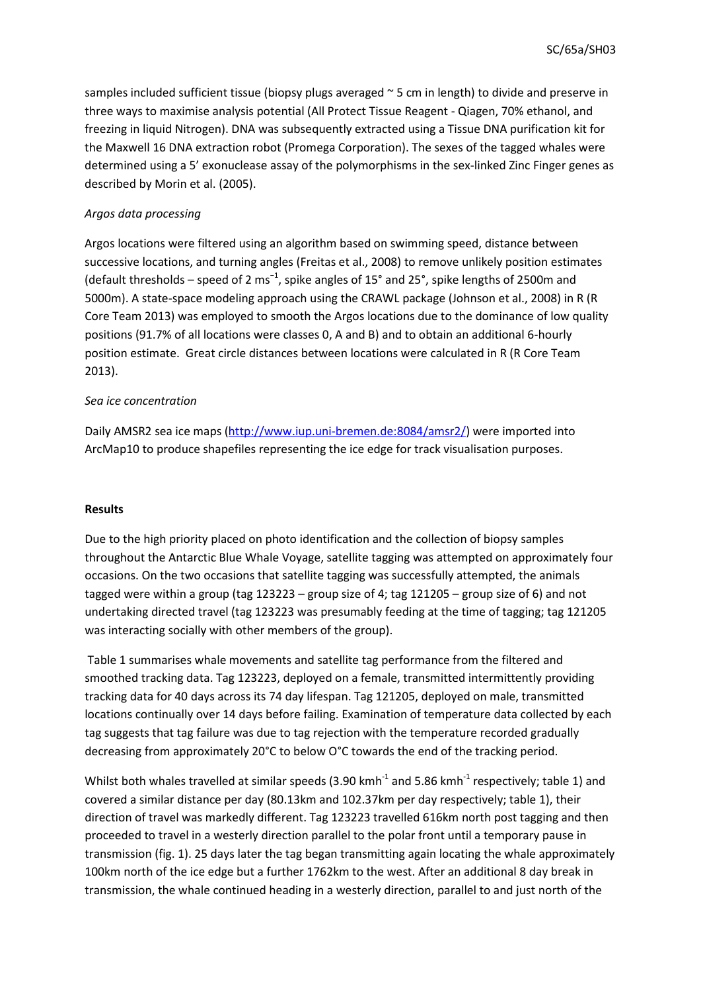samples included sufficient tissue (biopsy plugs averaged ~ 5 cm in length) to divide and preserve in three ways to maximise analysis potential (All Protect Tissue Reagent - Qiagen, 70% ethanol, and freezing in liquid Nitrogen). DNA was subsequently extracted using a Tissue DNA purification kit for the Maxwell 16 DNA extraction robot (Promega Corporation). The sexes of the tagged whales were determined using a 5' exonuclease assay of the polymorphisms in the sex-linked Zinc Finger genes as described by Morin et al. (2005).

# *Argos data processing*

Argos locations were filtered using an algorithm based on swimming speed, distance between successive locations, and turning angles (Freitas et al., 2008) to remove unlikely position estimates (default thresholds – speed of 2 ms<sup>-1</sup>, spike angles of 15° and 25°, spike lengths of 2500m and 5000m). A state-space modeling approach using the CRAWL package (Johnson et al., 2008) in R (R Core Team 2013) was employed to smooth the Argos locations due to the dominance of low quality positions (91.7% of all locations were classes 0, A and B) and to obtain an additional 6-hourly position estimate. Great circle distances between locations were calculated in R (R Core Team 2013).

## *Sea ice concentration*

Daily AMSR2 sea ice maps [\(http://www.iup.uni-bremen.de:8084/amsr2/\)](http://www.iup.uni-bremen.de:8084/amsr2/) were imported into ArcMap10 to produce shapefiles representing the ice edge for track visualisation purposes.

## **Results**

Due to the high priority placed on photo identification and the collection of biopsy samples throughout the Antarctic Blue Whale Voyage, satellite tagging was attempted on approximately four occasions. On the two occasions that satellite tagging was successfully attempted, the animals tagged were within a group (tag 123223 – group size of 4; tag 121205 – group size of 6) and not undertaking directed travel (tag 123223 was presumably feeding at the time of tagging; tag 121205 was interacting socially with other members of the group).

Table 1 summarises whale movements and satellite tag performance from the filtered and smoothed tracking data. Tag 123223, deployed on a female, transmitted intermittently providing tracking data for 40 days across its 74 day lifespan. Tag 121205, deployed on male, transmitted locations continually over 14 days before failing. Examination of temperature data collected by each tag suggests that tag failure was due to tag rejection with the temperature recorded gradually decreasing from approximately 20°C to below O°C towards the end of the tracking period.

Whilst both whales travelled at similar speeds (3.90 kmh<sup>-1</sup> and 5.86 kmh<sup>-1</sup> respectively; table 1) and covered a similar distance per day (80.13km and 102.37km per day respectively; table 1), their direction of travel was markedly different. Tag 123223 travelled 616km north post tagging and then proceeded to travel in a westerly direction parallel to the polar front until a temporary pause in transmission (fig. 1). 25 days later the tag began transmitting again locating the whale approximately 100km north of the ice edge but a further 1762km to the west. After an additional 8 day break in transmission, the whale continued heading in a westerly direction, parallel to and just north of the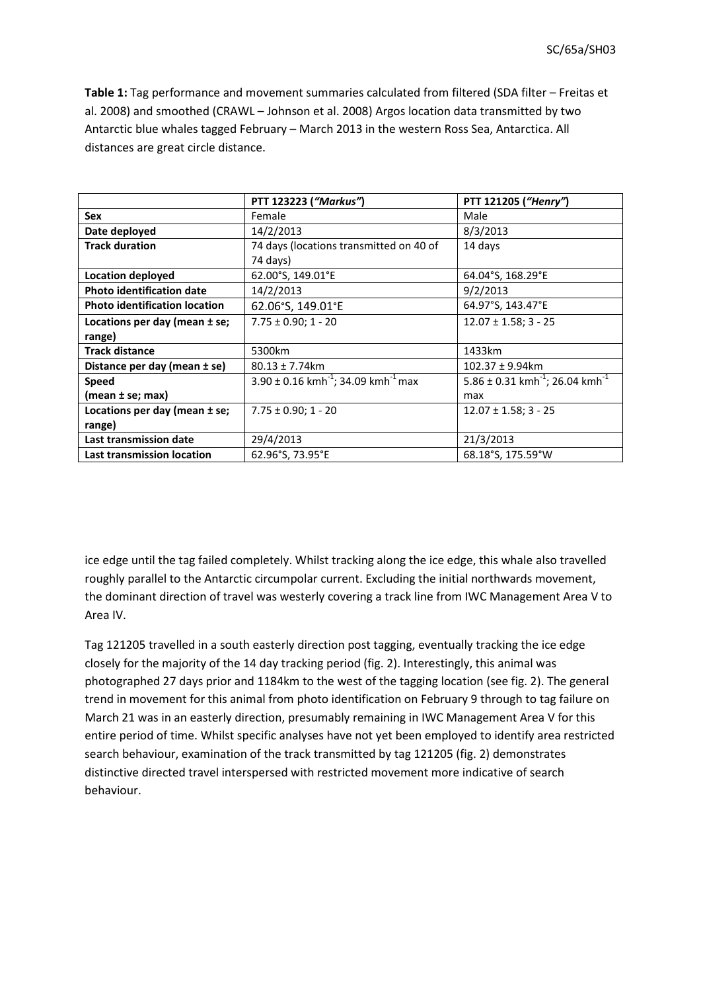**Table 1:** Tag performance and movement summaries calculated from filtered (SDA filter – Freitas et al. 2008) and smoothed (CRAWL – Johnson et al. 2008) Argos location data transmitted by two Antarctic blue whales tagged February – March 2013 in the western Ross Sea, Antarctica. All distances are great circle distance.

|                                      | PTT 123223 ("Markus")                                           | PTT 121205 ("Henry")                                    |
|--------------------------------------|-----------------------------------------------------------------|---------------------------------------------------------|
| Sex                                  | Female                                                          | Male                                                    |
| Date deployed                        | 14/2/2013                                                       | 8/3/2013                                                |
| <b>Track duration</b>                | 74 days (locations transmitted on 40 of                         | 14 days                                                 |
|                                      | 74 days)                                                        |                                                         |
| Location deployed                    | 62.00°S, 149.01°E                                               | 64.04°S, 168.29°E                                       |
| <b>Photo identification date</b>     | 14/2/2013                                                       | 9/2/2013                                                |
| <b>Photo identification location</b> | 62.06°S, 149.01°E                                               | 64.97°S, 143.47°E                                       |
| Locations per day (mean $\pm$ se;    | $7.75 \pm 0.90; 1 - 20$                                         | $12.07 \pm 1.58$ ; 3 - 25                               |
| range)                               |                                                                 |                                                         |
| <b>Track distance</b>                | 5300km                                                          | 1433km                                                  |
| Distance per day (mean ± se)         | $80.13 \pm 7.74$ km                                             | $102.37 \pm 9.94$ km                                    |
| <b>Speed</b>                         | $3.90 \pm 0.16$ kmh <sup>-1</sup> ; 34.09 kmh <sup>-1</sup> max | 5.86 ± 0.31 kmh <sup>-1</sup> ; 26.04 kmh <sup>-1</sup> |
| (mean ± se; max)                     |                                                                 | max                                                     |
| Locations per day (mean $\pm$ se;    | $7.75 \pm 0.90$ ; 1 - 20                                        | $12.07 \pm 1.58$ ; 3 - 25                               |
| range)                               |                                                                 |                                                         |
| Last transmission date               | 29/4/2013                                                       | 21/3/2013                                               |
| Last transmission location           | 62.96°S, 73.95°E                                                | 68.18°S, 175.59°W                                       |

ice edge until the tag failed completely. Whilst tracking along the ice edge, this whale also travelled roughly parallel to the Antarctic circumpolar current. Excluding the initial northwards movement, the dominant direction of travel was westerly covering a track line from IWC Management Area V to Area IV.

Tag 121205 travelled in a south easterly direction post tagging, eventually tracking the ice edge closely for the majority of the 14 day tracking period (fig. 2). Interestingly, this animal was photographed 27 days prior and 1184km to the west of the tagging location (see fig. 2). The general trend in movement for this animal from photo identification on February 9 through to tag failure on March 21 was in an easterly direction, presumably remaining in IWC Management Area V for this entire period of time. Whilst specific analyses have not yet been employed to identify area restricted search behaviour, examination of the track transmitted by tag 121205 (fig. 2) demonstrates distinctive directed travel interspersed with restricted movement more indicative of search behaviour.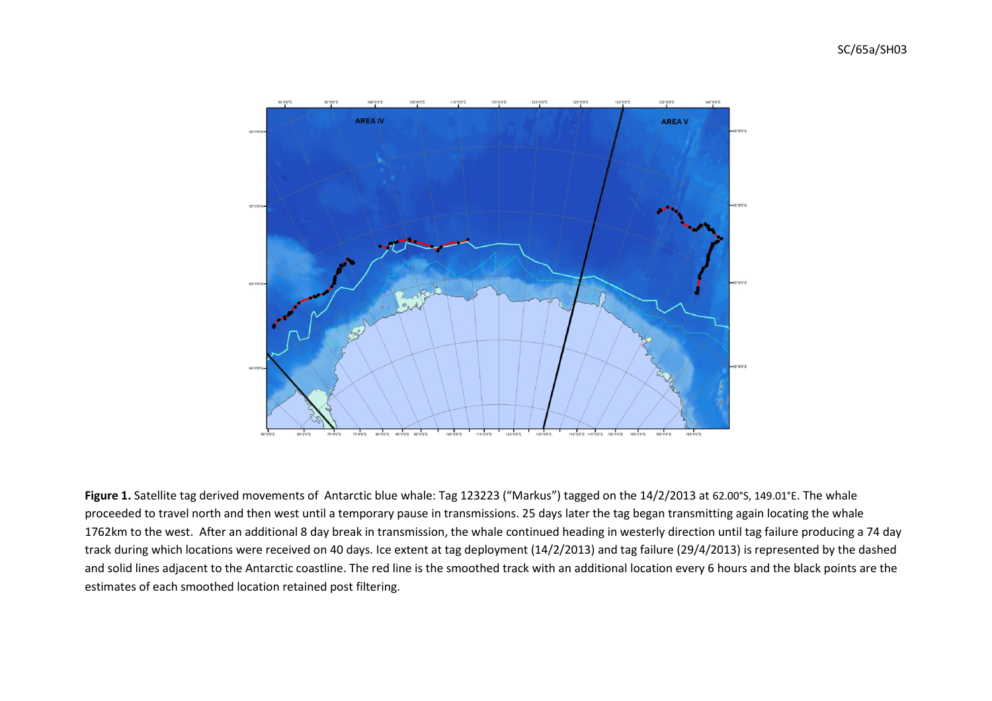

**Figure 1.** Satellite tag derived movements of Antarctic blue whale: Tag 123223 ("Markus") tagged on the 14/2/2013 at 62.00°S, 149.01°E. The whale proceeded to travel north and then west until a temporary pause in transmissions. 25 days later the tag began transmitting again locating the whale 1762km to the west. After an additional 8 day break in transmission, the whale continued heading in westerly direction until tag failure producing a 74 day track during which locations were received on 40 days. Ice extent at tag deployment (14/2/2013) and tag failure (29/4/2013) is represented by the dashed and solid lines adjacent to the Antarctic coastline. The red line is the smoothed track with an additional location every 6 hours and the black points are the estimates of each smoothed location retained post filtering.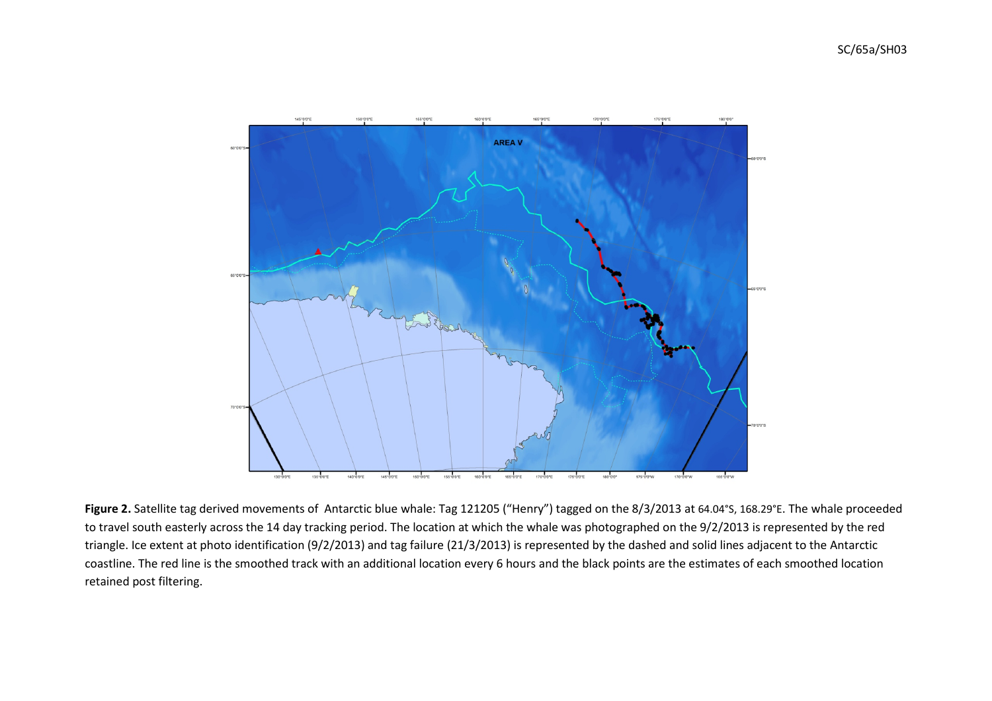

**Figure 2.** Satellite tag derived movements of Antarctic blue whale: Tag 121205 ("Henry") tagged on the 8/3/2013 at 64.04°S, 168.29°E. The whale proceeded to travel south easterly across the 14 day tracking period. The location at which the whale was photographed on the 9/2/2013 is represented by the red triangle. Ice extent at photo identification (9/2/2013) and tag failure (21/3/2013) is represented by the dashed and solid lines adjacent to the Antarctic coastline. The red line is the smoothed track with an additional location every 6 hours and the black points are the estimates of each smoothed location retained post filtering.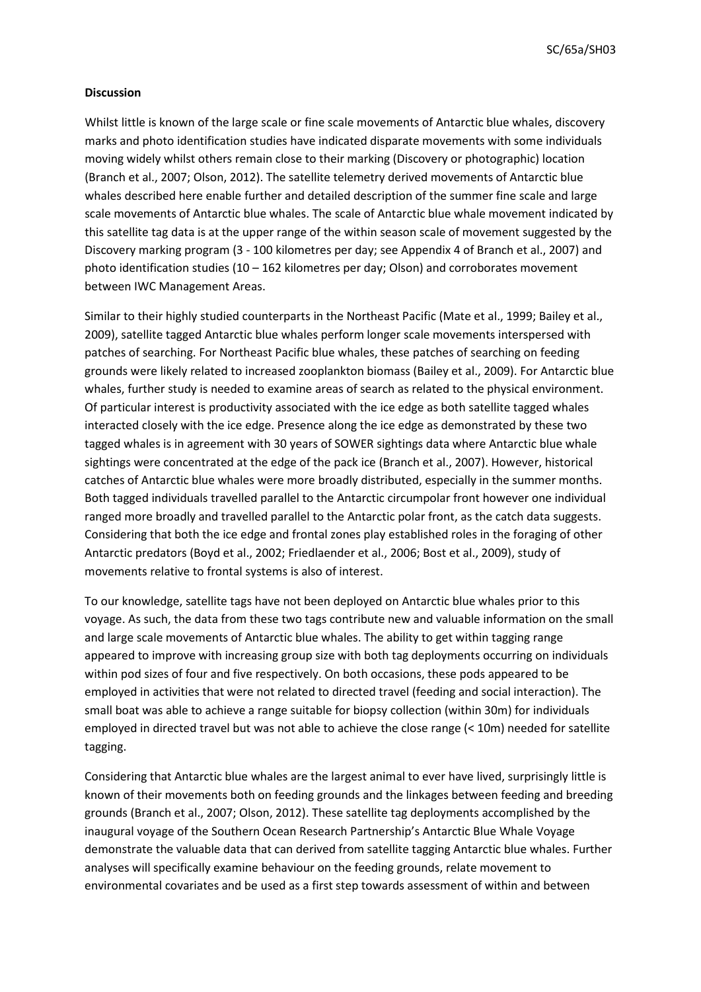SC/65a/SH03

## **Discussion**

Whilst little is known of the large scale or fine scale movements of Antarctic blue whales, discovery marks and photo identification studies have indicated disparate movements with some individuals moving widely whilst others remain close to their marking (Discovery or photographic) location (Branch et al., 2007; Olson, 2012). The satellite telemetry derived movements of Antarctic blue whales described here enable further and detailed description of the summer fine scale and large scale movements of Antarctic blue whales. The scale of Antarctic blue whale movement indicated by this satellite tag data is at the upper range of the within season scale of movement suggested by the Discovery marking program (3 - 100 kilometres per day; see Appendix 4 of Branch et al., 2007) and photo identification studies (10 – 162 kilometres per day; Olson) and corroborates movement between IWC Management Areas.

Similar to their highly studied counterparts in the Northeast Pacific (Mate et al., 1999; Bailey et al., 2009), satellite tagged Antarctic blue whales perform longer scale movements interspersed with patches of searching. For Northeast Pacific blue whales, these patches of searching on feeding grounds were likely related to increased zooplankton biomass (Bailey et al., 2009). For Antarctic blue whales, further study is needed to examine areas of search as related to the physical environment. Of particular interest is productivity associated with the ice edge as both satellite tagged whales interacted closely with the ice edge. Presence along the ice edge as demonstrated by these two tagged whales is in agreement with 30 years of SOWER sightings data where Antarctic blue whale sightings were concentrated at the edge of the pack ice (Branch et al., 2007). However, historical catches of Antarctic blue whales were more broadly distributed, especially in the summer months. Both tagged individuals travelled parallel to the Antarctic circumpolar front however one individual ranged more broadly and travelled parallel to the Antarctic polar front, as the catch data suggests. Considering that both the ice edge and frontal zones play established roles in the foraging of other Antarctic predators (Boyd et al., 2002; Friedlaender et al., 2006; Bost et al., 2009), study of movements relative to frontal systems is also of interest.

To our knowledge, satellite tags have not been deployed on Antarctic blue whales prior to this voyage. As such, the data from these two tags contribute new and valuable information on the small and large scale movements of Antarctic blue whales. The ability to get within tagging range appeared to improve with increasing group size with both tag deployments occurring on individuals within pod sizes of four and five respectively. On both occasions, these pods appeared to be employed in activities that were not related to directed travel (feeding and social interaction). The small boat was able to achieve a range suitable for biopsy collection (within 30m) for individuals employed in directed travel but was not able to achieve the close range (< 10m) needed for satellite tagging.

Considering that Antarctic blue whales are the largest animal to ever have lived, surprisingly little is known of their movements both on feeding grounds and the linkages between feeding and breeding grounds (Branch et al., 2007; Olson, 2012). These satellite tag deployments accomplished by the inaugural voyage of the Southern Ocean Research Partnership's Antarctic Blue Whale Voyage demonstrate the valuable data that can derived from satellite tagging Antarctic blue whales. Further analyses will specifically examine behaviour on the feeding grounds, relate movement to environmental covariates and be used as a first step towards assessment of within and between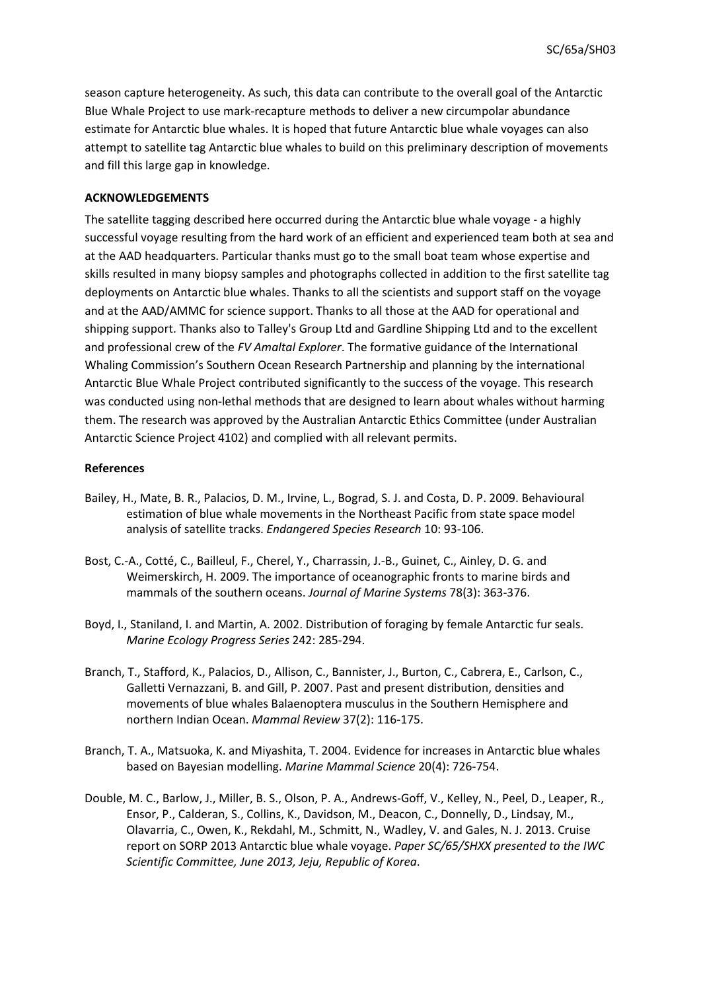season capture heterogeneity. As such, this data can contribute to the overall goal of the Antarctic Blue Whale Project to use mark-recapture methods to deliver a new circumpolar abundance estimate for Antarctic blue whales. It is hoped that future Antarctic blue whale voyages can also attempt to satellite tag Antarctic blue whales to build on this preliminary description of movements and fill this large gap in knowledge.

# **ACKNOWLEDGEMENTS**

The satellite tagging described here occurred during the Antarctic blue whale voyage - a highly successful voyage resulting from the hard work of an efficient and experienced team both at sea and at the AAD headquarters. Particular thanks must go to the small boat team whose expertise and skills resulted in many biopsy samples and photographs collected in addition to the first satellite tag deployments on Antarctic blue whales. Thanks to all the scientists and support staff on the voyage and at the AAD/AMMC for science support. Thanks to all those at the AAD for operational and shipping support. Thanks also to Talley's Group Ltd and Gardline Shipping Ltd and to the excellent and professional crew of the *FV Amaltal Explorer*. The formative guidance of the International Whaling Commission's Southern Ocean Research Partnership and planning by the international Antarctic Blue Whale Project contributed significantly to the success of the voyage. This research was conducted using non-lethal methods that are designed to learn about whales without harming them. The research was approved by the Australian Antarctic Ethics Committee (under Australian Antarctic Science Project 4102) and complied with all relevant permits.

## **References**

- Bailey, H., Mate, B. R., Palacios, D. M., Irvine, L., Bograd, S. J. and Costa, D. P. 2009. Behavioural estimation of blue whale movements in the Northeast Pacific from state space model analysis of satellite tracks. *Endangered Species Research* 10: 93-106.
- Bost, C.-A., Cotté, C., Bailleul, F., Cherel, Y., Charrassin, J.-B., Guinet, C., Ainley, D. G. and Weimerskirch, H. 2009. The importance of oceanographic fronts to marine birds and mammals of the southern oceans. *Journal of Marine Systems* 78(3): 363-376.
- Boyd, I., Staniland, I. and Martin, A. 2002. Distribution of foraging by female Antarctic fur seals. *Marine Ecology Progress Series* 242: 285-294.
- Branch, T., Stafford, K., Palacios, D., Allison, C., Bannister, J., Burton, C., Cabrera, E., Carlson, C., Galletti Vernazzani, B. and Gill, P. 2007. Past and present distribution, densities and movements of blue whales Balaenoptera musculus in the Southern Hemisphere and northern Indian Ocean. *Mammal Review* 37(2): 116-175.
- Branch, T. A., Matsuoka, K. and Miyashita, T. 2004. Evidence for increases in Antarctic blue whales based on Bayesian modelling. *Marine Mammal Science* 20(4): 726-754.
- Double, M. C., Barlow, J., Miller, B. S., Olson, P. A., Andrews-Goff, V., Kelley, N., Peel, D., Leaper, R., Ensor, P., Calderan, S., Collins, K., Davidson, M., Deacon, C., Donnelly, D., Lindsay, M., Olavarria, C., Owen, K., Rekdahl, M., Schmitt, N., Wadley, V. and Gales, N. J. 2013. Cruise report on SORP 2013 Antarctic blue whale voyage. *Paper SC/65/SHXX presented to the IWC Scientific Committee, June 2013, Jeju, Republic of Korea*.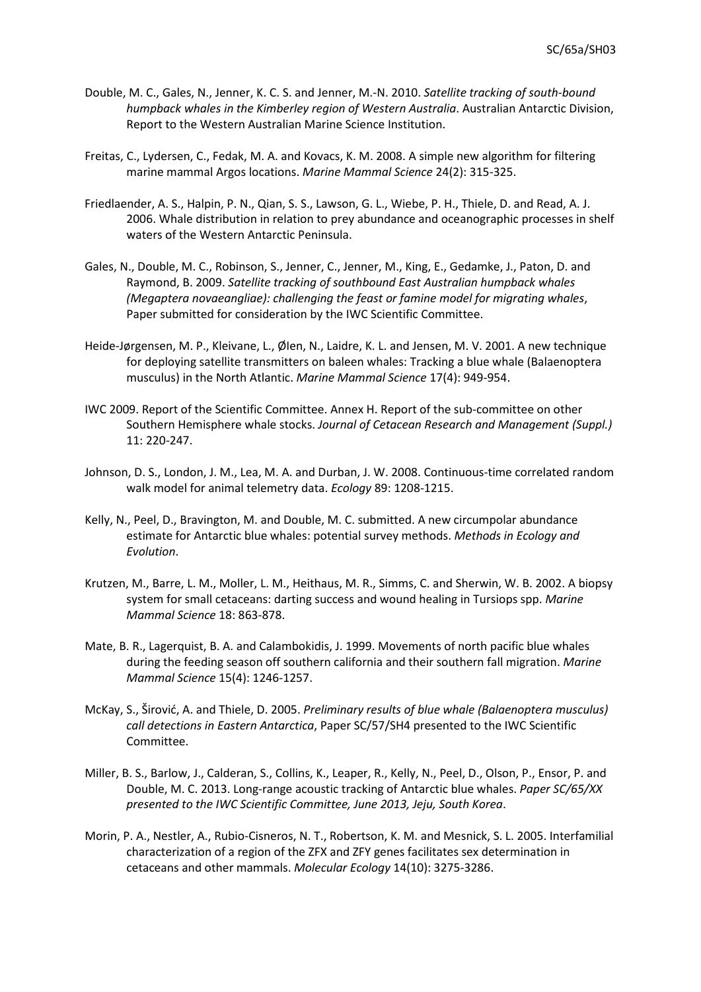- Double, M. C., Gales, N., Jenner, K. C. S. and Jenner, M.-N. 2010. *Satellite tracking of south-bound humpback whales in the Kimberley region of Western Australia*. Australian Antarctic Division, Report to the Western Australian Marine Science Institution.
- Freitas, C., Lydersen, C., Fedak, M. A. and Kovacs, K. M. 2008. A simple new algorithm for filtering marine mammal Argos locations. *Marine Mammal Science* 24(2): 315-325.
- Friedlaender, A. S., Halpin, P. N., Qian, S. S., Lawson, G. L., Wiebe, P. H., Thiele, D. and Read, A. J. 2006. Whale distribution in relation to prey abundance and oceanographic processes in shelf waters of the Western Antarctic Peninsula.
- Gales, N., Double, M. C., Robinson, S., Jenner, C., Jenner, M., King, E., Gedamke, J., Paton, D. and Raymond, B. 2009. *Satellite tracking of southbound East Australian humpback whales (Megaptera novaeangliae): challenging the feast or famine model for migrating whales*, Paper submitted for consideration by the IWC Scientific Committee.
- Heide-Jørgensen, M. P., Kleivane, L., ØIen, N., Laidre, K. L. and Jensen, M. V. 2001. A new technique for deploying satellite transmitters on baleen whales: Tracking a blue whale (Balaenoptera musculus) in the North Atlantic. *Marine Mammal Science* 17(4): 949-954.
- IWC 2009. Report of the Scientific Committee. Annex H. Report of the sub-committee on other Southern Hemisphere whale stocks. *Journal of Cetacean Research and Management (Suppl.)* 11: 220-247.
- Johnson, D. S., London, J. M., Lea, M. A. and Durban, J. W. 2008. Continuous-time correlated random walk model for animal telemetry data. *Ecology* 89: 1208-1215.
- Kelly, N., Peel, D., Bravington, M. and Double, M. C. submitted. A new circumpolar abundance estimate for Antarctic blue whales: potential survey methods. *Methods in Ecology and Evolution*.
- Krutzen, M., Barre, L. M., Moller, L. M., Heithaus, M. R., Simms, C. and Sherwin, W. B. 2002. A biopsy system for small cetaceans: darting success and wound healing in Tursiops spp. *Marine Mammal Science* 18: 863-878.
- Mate, B. R., Lagerquist, B. A. and Calambokidis, J. 1999. Movements of north pacific blue whales during the feeding season off southern california and their southern fall migration. *Marine Mammal Science* 15(4): 1246-1257.
- McKay, S., Širović, A. and Thiele, D. 2005. *Preliminary results of blue whale (Balaenoptera musculus) call detections in Eastern Antarctica*, Paper SC/57/SH4 presented to the IWC Scientific Committee.
- Miller, B. S., Barlow, J., Calderan, S., Collins, K., Leaper, R., Kelly, N., Peel, D., Olson, P., Ensor, P. and Double, M. C. 2013. Long-range acoustic tracking of Antarctic blue whales. *Paper SC/65/XX presented to the IWC Scientific Committee, June 2013, Jeju, South Korea*.
- Morin, P. A., Nestler, A., Rubio-Cisneros, N. T., Robertson, K. M. and Mesnick, S. L. 2005. Interfamilial characterization of a region of the ZFX and ZFY genes facilitates sex determination in cetaceans and other mammals. *Molecular Ecology* 14(10): 3275-3286.